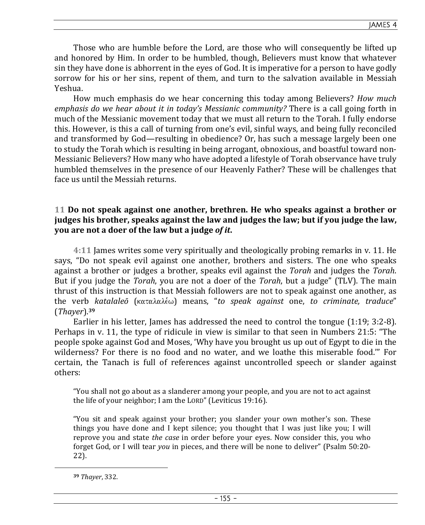Those who are humble before the Lord, are those who will consequently be lifted up and honored by Him. In order to be humbled, though, Believers must know that whatever sin they have done is abhorrent in the eyes of God. It is imperative for a person to have godly sorrow for his or her sins, repent of them, and turn to the salvation available in Messiah Yeshua.

How much emphasis do we hear concerning this today among Believers? *How much emphasis do we hear about it in today's Messianic community?* There is a call going forth in much of the Messianic movement today that we must all return to the Torah. I fully endorse this. However, is this a call of turning from one's evil, sinful ways, and being fully reconciled and transformed by God—resulting in obedience? Or, has such a message largely been one to study the Torah which is resulting in being arrogant, obnoxious, and boastful toward non-Messianic Believers? How many who have adopted a lifestyle of Torah observance have truly humbled themselves in the presence of our Heavenly Father? These will be challenges that face us until the Messiah returns.

# **11 Do not speak against one another, brethren. He who speaks against a brother or judges his brother, speaks against the law and judges the law; but if you judge the law, you are not a doer of the law but a judge** *of it***.**

**4:11** James writes some very spiritually and theologically probing remarks in v. 11. He says, "Do not speak evil against one another, brothers and sisters. The one who speaks against a brother or judges a brother, speaks evil against the *Torah* and judges the *Torah*. But if you judge the *Torah*, you are not a doer of the *Torah*, but a judge" (TLV). The main thrust of this instruction is that Messiah followers are not to speak against one another, as the verb *katalaleō* (καταλαλέω) means, "*to speak against* one, *to criminate, traduce*" (*Thayer*).**<sup>39</sup>**

Earlier in his letter, James has addressed the need to control the tongue (1:19; 3:2-8). Perhaps in v. 11, the type of ridicule in view is similar to that seen in Numbers 21:5: "The people spoke against God and Moses, 'Why have you brought us up out of Egypt to die in the wilderness? For there is no food and no water, and we loathe this miserable food.'" For certain, the Tanach is full of references against uncontrolled speech or slander against others:

"You shall not go about as a slanderer among your people, and you are not to act against the life of your neighbor; I am the LORD" (Leviticus 19:16).

"You sit and speak against your brother; you slander your own mother's son. These things you have done and I kept silence; you thought that I was just like you; I will reprove you and state *the case* in order before your eyes. Now consider this, you who forget God, or I will tear *you* in pieces, and there will be none to deliver" (Psalm 50:20- 22).

**<sup>39</sup>** *Thayer*, 332.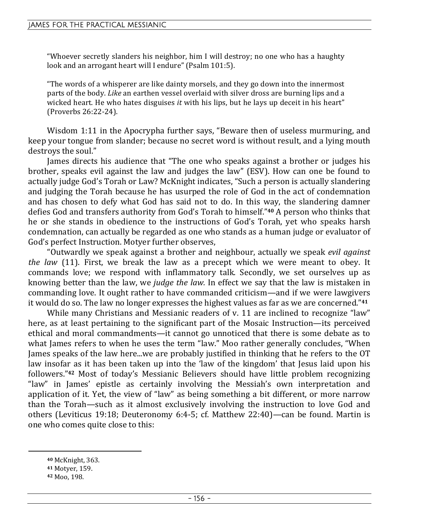"Whoever secretly slanders his neighbor, him I will destroy; no one who has a haughty look and an arrogant heart will I endure" (Psalm 101:5).

"The words of a whisperer are like dainty morsels, and they go down into the innermost parts of the body. *Like* an earthen vessel overlaid with silver dross are burning lips and a wicked heart. He who hates disguises *it* with his lips, but he lays up deceit in his heart" (Proverbs 26:22-24).

Wisdom 1:11 in the Apocrypha further says, "Beware then of useless murmuring, and keep your tongue from slander; because no secret word is without result, and a lying mouth destroys the soul."

James directs his audience that "The one who speaks against a brother or judges his brother, speaks evil against the law and judges the law" (ESV). How can one be found to actually judge God's Torah or Law? McKnight indicates, "Such a person is actually slandering and judging the Torah because he has usurped the role of God in the act of condemnation and has chosen to defy what God has said not to do. In this way, the slandering damner defies God and transfers authority from God's Torah to himself."**40** A person who thinks that he or she stands in obedience to the instructions of God's Torah, yet who speaks harsh condemnation, can actually be regarded as one who stands as a human judge or evaluator of God's perfect Instruction. Motyer further observes,

"Outwardly we speak against a brother and neighbour, actually we speak *evil against the law* (11). First, we break the law as a precept which we were meant to obey. It commands love; we respond with inflammatory talk. Secondly, we set ourselves up as knowing better than the law, we *judge the law.* In effect we say that the law is mistaken in commanding love. It ought rather to have commanded criticism—and if we were lawgivers it would do so. The law no longer expresses the highest values as far as we are concerned."**<sup>41</sup>**

While many Christians and Messianic readers of v. 11 are inclined to recognize "law" here, as at least pertaining to the significant part of the Mosaic Instruction—its perceived ethical and moral commandments—it cannot go unnoticed that there is some debate as to what James refers to when he uses the term "law." Moo rather generally concludes, "When James speaks of the law here...we are probably justified in thinking that he refers to the OT law insofar as it has been taken up into the 'law of the kingdom' that Jesus laid upon his followers."**42** Most of today's Messianic Believers should have little problem recognizing "law" in James' epistle as certainly involving the Messiah's own interpretation and application of it. Yet, the view of "law" as being something a bit different, or more narrow than the Torah—such as it almost exclusively involving the instruction to love God and others (Leviticus 19:18; Deuteronomy 6:4-5; cf. Matthew 22:40)—can be found. Martin is one who comes quite close to this:

- **<sup>40</sup>** McKnight, 363.
- **<sup>41</sup>** Motyer, 159.

**<sup>42</sup>** Moo, 198.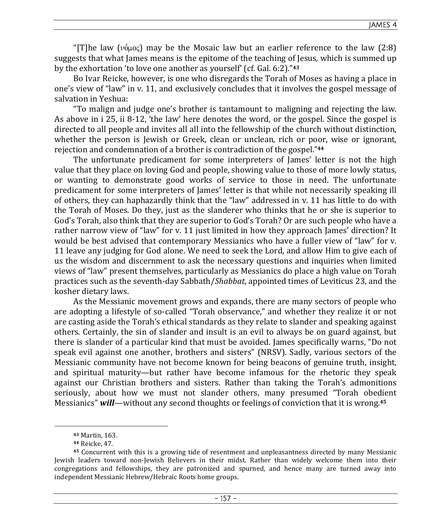JAMES 4

"[T]he law ( $\nu$  $\phi$  $\mu$  $o$ <sub>5</sub>) may be the Mosaic law but an earlier reference to the law (2:8) suggests that what James means is the epitome of the teaching of Jesus, which is summed up by the exhortation 'to love one another as yourself' (cf. Gal. 6:2)."**<sup>43</sup>**

Bo Ivar Reicke, however, is one who disregards the Torah of Moses as having a place in one's view of "law" in v. 11, and exclusively concludes that it involves the gospel message of salvation in Yeshua:

"To malign and judge one's brother is tantamount to maligning and rejecting the law. As above in i 25, ii 8-12, 'the law' here denotes the word, or the gospel. Since the gospel is directed to all people and invites all all into the fellowship of the church without distinction, whether the person is Jewish or Greek, clean or unclean, rich or poor, wise or ignorant, rejection and condemnation of a brother is contradiction of the gospel."**<sup>44</sup>**

The unfortunate predicament for some interpreters of James' letter is not the high value that they place on loving God and people, showing value to those of more lowly status, or wanting to demonstrate good works of service to those in need. The unfortunate predicament for some interpreters of James' letter is that while not necessarily speaking ill of others, they can haphazardly think that the "law" addressed in v. 11 has little to do with the Torah of Moses. Do they, just as the slanderer who thinks that he or she is superior to God's Torah, also think that they are superior to God's Torah? Or are such people who have a rather narrow view of "law" for v. 11 just limited in how they approach James' direction? It would be best advised that contemporary Messianics who have a fuller view of "law" for v. 11 leave any judging for God alone. We need to seek the Lord, and allow Him to give each of us the wisdom and discernment to ask the necessary questions and inquiries when limited views of "law" present themselves, particularly as Messianics do place a high value on Torah practices such as the seventh-day Sabbath/*Shabbat*, appointed times of Leviticus 23, and the kosher dietary laws.

As the Messianic movement grows and expands, there are many sectors of people who are adopting a lifestyle of so-called "Torah observance," and whether they realize it or not are casting aside the Torah's ethical standards as they relate to slander and speaking against others. Certainly, the sin of slander and insult is an evil to always be on guard against, but there is slander of a particular kind that must be avoided. James specifically warns, "Do not speak evil against one another, brothers and sisters" (NRSV). Sadly, various sectors of the Messianic community have not become known for being beacons of genuine truth, insight, and spiritual maturity—but rather have become infamous for the rhetoric they speak against our Christian brothers and sisters. Rather than taking the Torah's admonitions seriously, about how we must not slander others, many presumed "Torah obedient Messianics" *will*—without any second thoughts or feelings of conviction that it is wrong.**<sup>45</sup>**

**<sup>43</sup>** Martin, 163.

**<sup>44</sup>** Reicke, 47.

**<sup>45</sup>** Concurrent with this is a growing tide of resentment and unpleasantness directed by many Messianic Jewish leaders toward non-Jewish Believers in their midst. Rather than widely welcome them into their congregations and fellowships, they are patronized and spurned, and hence many are turned away into independent Messianic Hebrew/Hebraic Roots home groups.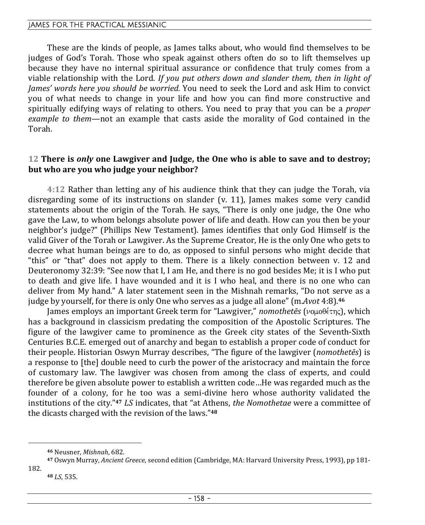# JAMES FOR THE PRACTICAL MESSIANIC

These are the kinds of people, as James talks about, who would find themselves to be judges of God's Torah. Those who speak against others often do so to lift themselves up because they have no internal spiritual assurance or confidence that truly comes from a viable relationship with the Lord. *If you put others down and slander them, then in light of James' words here you should be worried.* You need to seek the Lord and ask Him to convict you of what needs to change in your life and how you can find more constructive and spiritually edifying ways of relating to others. You need to pray that you can be a *proper example to them*—not an example that casts aside the morality of God contained in the Torah.

### **12 There is** *only* **one Lawgiver and Judge, the One who is able to save and to destroy; but who are you who judge your neighbor?**

**4:12** Rather than letting any of his audience think that they can judge the Torah, via disregarding some of its instructions on slander (v. 11), James makes some very candid statements about the origin of the Torah. He says, "There is only one judge, the One who gave the Law, to whom belongs absolute power of life and death. How can you then be your neighbor's judge?" (Phillips New Testament). James identifies that only God Himself is the valid Giver of the Torah or Lawgiver. As the Supreme Creator, He is the only One who gets to decree what human beings are to do, as opposed to sinful persons who might decide that "this" or "that" does not apply to them. There is a likely connection between v. 12 and Deuteronomy 32:39: "See now that I, I am He, and there is no god besides Me; it is I who put to death and give life. I have wounded and it is I who heal, and there is no one who can deliver from My hand." A later statement seen in the Mishnah remarks, "Do not serve as a judge by yourself, for there is only One who serves as a judge all alone" (m.*Avot* 4:8).**<sup>46</sup>**

James employs an important Greek term for "Lawgiver," *nomothetēs* (νομοθέτης), which has a background in classicism predating the composition of the Apostolic Scriptures. The figure of the lawgiver came to prominence as the Greek city states of the Seventh-Sixth Centuries B.C.E. emerged out of anarchy and began to establish a proper code of conduct for their people. Historian Oswyn Murray describes, "The figure of the lawgiver (*nomothetēs*) is a response to [the] double need to curb the power of the aristocracy and maintain the force of customary law. The lawgiver was chosen from among the class of experts, and could therefore be given absolute power to establish a written code…He was regarded much as the founder of a colony, for he too was a semi-divine hero whose authority validated the institutions of the city."**<sup>47</sup>** *LS* indicates, that "at Athens, *the Nomothetae* were a committee of the dicasts charged with the revision of the laws."**<sup>48</sup>**

**<sup>46</sup>** Neusner, *Mishnah*, 682.

**<sup>47</sup>** Oswyn Murray, *Ancient Greece*, second edition (Cambridge, MA: Harvard University Press, 1993), pp 181-

<sup>182.</sup> 

**<sup>48</sup>** *LS*, 535.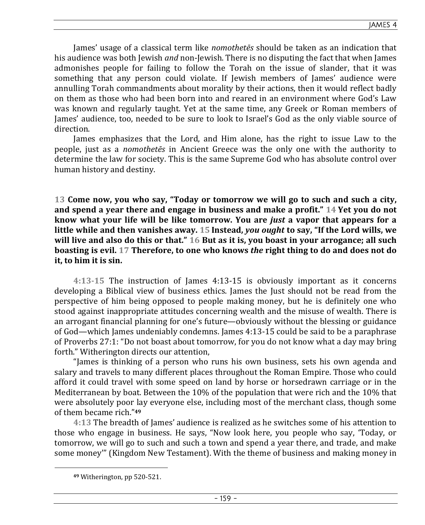James' usage of a classical term like *nomothetēs* should be taken as an indication that his audience was both Jewish *and* non-Jewish. There is no disputing the fact that when James admonishes people for failing to follow the Torah on the issue of slander, that it was something that any person could violate. If Jewish members of James' audience were annulling Torah commandments about morality by their actions, then it would reflect badly on them as those who had been born into and reared in an environment where God's Law was known and regularly taught. Yet at the same time, any Greek or Roman members of James' audience, too, needed to be sure to look to Israel's God as the only viable source of direction.

James emphasizes that the Lord, and Him alone, has the right to issue Law to the people, just as a *nomothetēs* in Ancient Greece was the only one with the authority to determine the law for society. This is the same Supreme God who has absolute control over human history and destiny.

**13 Come now, you who say, "Today or tomorrow we will go to such and such a city, and spend a year there and engage in business and make a profit." 14 Yet you do not know what your life will be like tomorrow. You are** *just* **a vapor that appears for a little while and then vanishes away. 15 Instead,** *you ought* **to say, "If the Lord wills, we will live and also do this or that." 16 But as it is, you boast in your arrogance; all such boasting is evil. 17 Therefore, to one who knows** *the* **right thing to do and does not do it, to him it is sin.** 

**4:13-15** The instruction of James 4:13-15 is obviously important as it concerns developing a Biblical view of business ethics. James the Just should not be read from the perspective of him being opposed to people making money, but he is definitely one who stood against inappropriate attitudes concerning wealth and the misuse of wealth. There is an arrogant financial planning for one's future—obviously without the blessing or guidance of God—which James undeniably condemns. James 4:13-15 could be said to be a paraphrase of Proverbs 27:1: "Do not boast about tomorrow, for you do not know what a day may bring forth." Witherington directs our attention,

"James is thinking of a person who runs his own business, sets his own agenda and salary and travels to many different places throughout the Roman Empire. Those who could afford it could travel with some speed on land by horse or horsedrawn carriage or in the Mediterranean by boat. Between the 10% of the population that were rich and the 10% that were absolutely poor lay everyone else, including most of the merchant class, though some of them became rich."**<sup>49</sup>**

**4:13** The breadth of James' audience is realized as he switches some of his attention to those who engage in business. He says, "Now look here, you people who say, 'Today, or tomorrow, we will go to such and such a town and spend a year there, and trade, and make some money'" (Kingdom New Testament). With the theme of business and making money in

**<sup>49</sup>** Witherington, pp 520-521.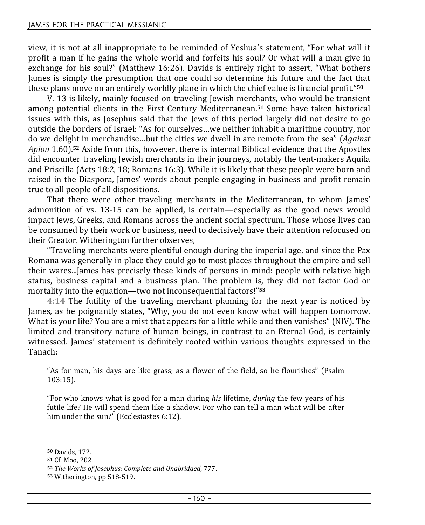### JAMES FOR THE PRACTICAL MESSIANIC

view, it is not at all inappropriate to be reminded of Yeshua's statement, "For what will it profit a man if he gains the whole world and forfeits his soul? Or what will a man give in exchange for his soul?" (Matthew 16:26). Davids is entirely right to assert, "What bothers James is simply the presumption that one could so determine his future and the fact that these plans move on an entirely worldly plane in which the chief value is financial profit."**<sup>50</sup>**

V. 13 is likely, mainly focused on traveling Jewish merchants, who would be transient among potential clients in the First Century Mediterranean.**51** Some have taken historical issues with this, as Josephus said that the Jews of this period largely did not desire to go outside the borders of Israel: "As for ourselves…we neither inhabit a maritime country, nor do we delight in merchandise…but the cities we dwell in are remote from the sea" (*Against Apion* 1.60).**52** Aside from this, however, there is internal Biblical evidence that the Apostles did encounter traveling Jewish merchants in their journeys, notably the tent-makers Aquila and Priscilla (Acts 18:2, 18; Romans 16:3). While it is likely that these people were born and raised in the Diaspora, James' words about people engaging in business and profit remain true to all people of all dispositions.

That there were other traveling merchants in the Mediterranean, to whom James' admonition of vs. 13-15 can be applied, is certain—especially as the good news would impact Jews, Greeks, and Romans across the ancient social spectrum. Those whose lives can be consumed by their work or business, need to decisively have their attention refocused on their Creator. Witherington further observes,

"Traveling merchants were plentiful enough during the imperial age, and since the Pax Romana was generally in place they could go to most places throughout the empire and sell their wares...James has precisely these kinds of persons in mind: people with relative high status, business capital and a business plan. The problem is, they did not factor God or mortality into the equation—two not inconsequential factors!"**<sup>53</sup>**

**4:14** The futility of the traveling merchant planning for the next year is noticed by James, as he poignantly states, "Why, you do not even know what will happen tomorrow. What is your life? You are a mist that appears for a little while and then vanishes" (NIV). The limited and transitory nature of human beings, in contrast to an Eternal God, is certainly witnessed. James' statement is definitely rooted within various thoughts expressed in the Tanach:

"As for man, his days are like grass; as a flower of the field, so he flourishes" (Psalm 103:15).

"For who knows what is good for a man during *his* lifetime, *during* the few years of his futile life? He will spend them like a shadow. For who can tell a man what will be after him under the sun?" (Ecclesiastes 6:12).

**<sup>50</sup>** Davids, 172.

**<sup>51</sup>** Cf. Moo, 202.

**<sup>52</sup>** *The Works of Josephus: Complete and Unabridged*, 777.

**<sup>53</sup>** Witherington, pp 518-519.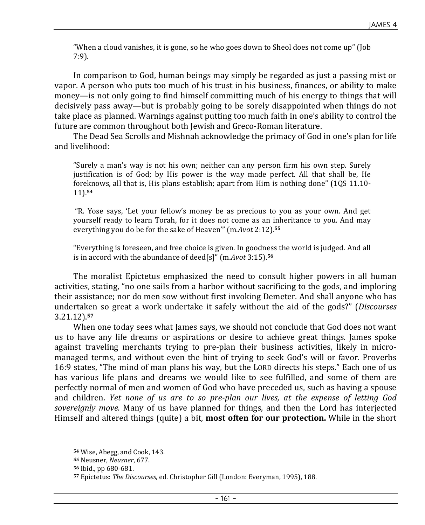"When a cloud vanishes, it is gone, so he who goes down to Sheol does not come up" (Job 7:9).

In comparison to God, human beings may simply be regarded as just a passing mist or vapor. A person who puts too much of his trust in his business, finances, or ability to make money—is not only going to find himself committing much of his energy to things that will decisively pass away—but is probably going to be sorely disappointed when things do not take place as planned. Warnings against putting too much faith in one's ability to control the future are common throughout both Jewish and Greco-Roman literature.

The Dead Sea Scrolls and Mishnah acknowledge the primacy of God in one's plan for life and livelihood:

"Surely a man's way is not his own; neither can any person firm his own step. Surely justification is of God; by His power is the way made perfect. All that shall be, He foreknows, all that is, His plans establish; apart from Him is nothing done" (1QS 11.10- 11).**<sup>54</sup>**

 "R. Yose says, 'Let your fellow's money be as precious to you as your own. And get yourself ready to learn Torah, for it does not come as an inheritance to you. And may everything you do be for the sake of Heaven'" (m.*Avot* 2:12).**<sup>55</sup>**

"Everything is foreseen, and free choice is given. In goodness the world is judged. And all is in accord with the abundance of deed[s]" (m.*Avot* 3:15).**<sup>56</sup>**

The moralist Epictetus emphasized the need to consult higher powers in all human activities, stating, "no one sails from a harbor without sacrificing to the gods, and imploring their assistance; nor do men sow without first invoking Demeter. And shall anyone who has undertaken so great a work undertake it safely without the aid of the gods?" (*Discourses* 3.21.12).**<sup>57</sup>**

When one today sees what James says, we should not conclude that God does not want us to have any life dreams or aspirations or desire to achieve great things. James spoke against traveling merchants trying to pre-plan their business activities, likely in micromanaged terms, and without even the hint of trying to seek God's will or favor. Proverbs 16:9 states, "The mind of man plans his way, but the LORD directs his steps." Each one of us has various life plans and dreams we would like to see fulfilled, and some of them are perfectly normal of men and women of God who have preceded us, such as having a spouse and children. *Yet none of us are to so pre-plan our lives, at the expense of letting God sovereignly move.* Many of us have planned for things, and then the Lord has interjected Himself and altered things (quite) a bit, **most often for our protection.** While in the short

**<sup>54</sup>** Wise, Abegg, and Cook, 143.

**<sup>55</sup>** Neusner, *Neusner*, 677.

**<sup>56</sup>** Ibid., pp 680-681.

**<sup>57</sup>** Epictetus: *The Discourses*, ed. Christopher Gill (London: Everyman, 1995), 188.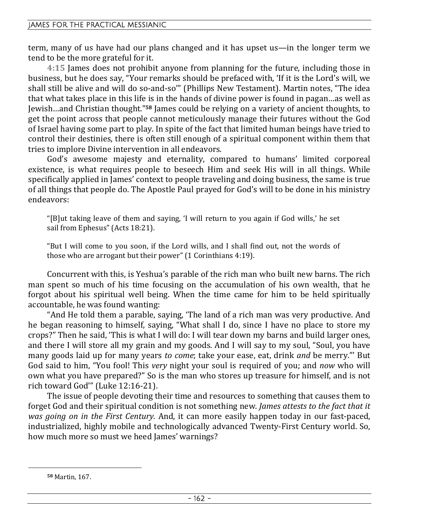term, many of us have had our plans changed and it has upset us—in the longer term we tend to be the more grateful for it.

**4:15** James does not prohibit anyone from planning for the future, including those in business, but he does say, "Your remarks should be prefaced with, 'If it is the Lord's will, we shall still be alive and will do so-and-so'" (Phillips New Testament). Martin notes, "The idea that what takes place in this life is in the hands of divine power is found in pagan…as well as Jewish…and Christian thought."**58** James could be relying on a variety of ancient thoughts, to get the point across that people cannot meticulously manage their futures without the God of Israel having some part to play. In spite of the fact that limited human beings have tried to control their destinies, there is often still enough of a spiritual component within them that tries to implore Divine intervention in all endeavors.

God's awesome majesty and eternality, compared to humans' limited corporeal existence, is what requires people to beseech Him and seek His will in all things. While specifically applied in James' context to people traveling and doing business, the same is true of all things that people do. The Apostle Paul prayed for God's will to be done in his ministry endeavors:

"[B]ut taking leave of them and saying, 'I will return to you again if God wills,' he set sail from Ephesus" (Acts 18:21).

"But I will come to you soon, if the Lord wills, and I shall find out, not the words of those who are arrogant but their power" (1 Corinthians 4:19).

Concurrent with this, is Yeshua's parable of the rich man who built new barns. The rich man spent so much of his time focusing on the accumulation of his own wealth, that he forgot about his spiritual well being. When the time came for him to be held spiritually accountable, he was found wanting:

"And He told them a parable, saying, 'The land of a rich man was very productive. And he began reasoning to himself, saying, "What shall I do, since I have no place to store my crops?" Then he said, 'This is what I will do: I will tear down my barns and build larger ones, and there I will store all my grain and my goods. And I will say to my soul, "Soul, you have many goods laid up for many years *to come*; take your ease, eat, drink *and* be merry."' But God said to him, "You fool! This *very* night your soul is required of you; and *now* who will own what you have prepared?" So is the man who stores up treasure for himself, and is not rich toward God'" (Luke 12:16-21).

The issue of people devoting their time and resources to something that causes them to forget God and their spiritual condition is not something new. *James attests to the fact that it was going on in the First Century.* And, it can more easily happen today in our fast-paced, industrialized, highly mobile and technologically advanced Twenty-First Century world. So, how much more so must we heed James' warnings?

**<sup>58</sup>** Martin, 167.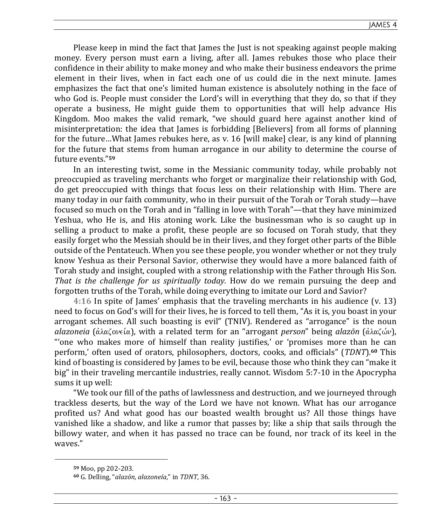Please keep in mind the fact that James the Just is not speaking against people making money. Every person must earn a living, after all. James rebukes those who place their confidence in their ability to make money and who make their business endeavors the prime element in their lives, when in fact each one of us could die in the next minute. James emphasizes the fact that one's limited human existence is absolutely nothing in the face of who God is. People must consider the Lord's will in everything that they do, so that if they operate a business, He might guide them to opportunities that will help advance His Kingdom. Moo makes the valid remark, "we should guard here against another kind of misinterpretation: the idea that James is forbidding [Believers] from all forms of planning for the future…What James rebukes here, as v. 16 [will make] clear, is any kind of planning for the future that stems from human arrogance in our ability to determine the course of future events."**<sup>59</sup>**

In an interesting twist, some in the Messianic community today, while probably not preoccupied as traveling merchants who forget or marginalize their relationship with God, do get preoccupied with things that focus less on their relationship with Him. There are many today in our faith community, who in their pursuit of the Torah or Torah study—have focused so much on the Torah and in "falling in love with Torah"—that they have minimized Yeshua, who He is, and His atoning work. Like the businessman who is so caught up in selling a product to make a profit, these people are so focused on Torah study, that they easily forget who the Messiah should be in their lives, and they forget other parts of the Bible outside of the Pentateuch. When you see these people, you wonder whether or not they truly know Yeshua as their Personal Savior, otherwise they would have a more balanced faith of Torah study and insight, coupled with a strong relationship with the Father through His Son. *That is the challenge for us spiritually today.* How do we remain pursuing the deep and forgotten truths of the Torah, while doing everything to imitate our Lord and Savior?

**4:16** In spite of James' emphasis that the traveling merchants in his audience (v. 13) need to focus on God's will for their lives, he is forced to tell them, "As it is, you boast in your arrogant schemes. All such boasting is evil" (TNIV). Rendered as "arrogance" is the noun *alazoneia* (άλαζονεία), with a related term for an "arrogant *person*" being *alazōn* (άλαζών), "'one who makes more of himself than reality justifies,' or 'promises more than he can perform,' often used of orators, philosophers, doctors, cooks, and officials" (*TDNT*).**60** This kind of boasting is considered by James to be evil, because those who think they can "make it big" in their traveling mercantile industries, really cannot. Wisdom 5:7-10 in the Apocrypha sums it up well:

"We took our fill of the paths of lawlessness and destruction, and we journeyed through trackless deserts, but the way of the Lord we have not known. What has our arrogance profited us? And what good has our boasted wealth brought us? All those things have vanished like a shadow, and like a rumor that passes by; like a ship that sails through the billowy water, and when it has passed no trace can be found, nor track of its keel in the waves."

**<sup>59</sup>** Moo, pp 202-203.

**<sup>60</sup>** G. Delling, "*alazōn, alazoneía*," in *TDNT*, 36.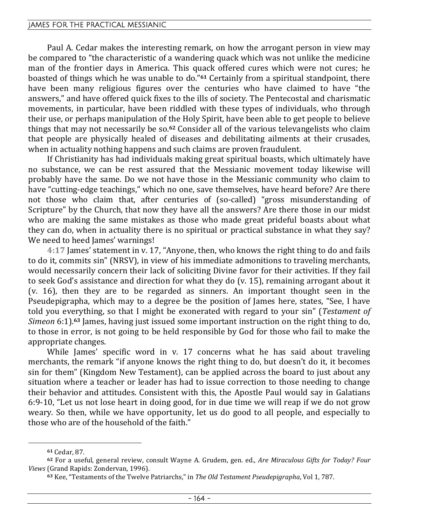### JAMES FOR THE PRACTICAL MESSIANIC

Paul A. Cedar makes the interesting remark, on how the arrogant person in view may be compared to "the characteristic of a wandering quack which was not unlike the medicine man of the frontier days in America. This quack offered cures which were not cures; he boasted of things which he was unable to do."**61** Certainly from a spiritual standpoint, there have been many religious figures over the centuries who have claimed to have "the answers," and have offered quick fixes to the ills of society. The Pentecostal and charismatic movements, in particular, have been riddled with these types of individuals, who through their use, or perhaps manipulation of the Holy Spirit, have been able to get people to believe things that may not necessarily be so.**62** Consider all of the various televangelists who claim that people are physically healed of diseases and debilitating ailments at their crusades, when in actuality nothing happens and such claims are proven fraudulent.

If Christianity has had individuals making great spiritual boasts, which ultimately have no substance, we can be rest assured that the Messianic movement today likewise will probably have the same. Do we not have those in the Messianic community who claim to have "cutting-edge teachings," which no one, save themselves, have heard before? Are there not those who claim that, after centuries of (so-called) "gross misunderstanding of Scripture" by the Church, that now they have all the answers? Are there those in our midst who are making the same mistakes as those who made great prideful boasts about what they can do, when in actuality there is no spiritual or practical substance in what they say? We need to heed James' warnings!

**4:17** James' statement in v. 17, "Anyone, then, who knows the right thing to do and fails to do it, commits sin" (NRSV), in view of his immediate admonitions to traveling merchants, would necessarily concern their lack of soliciting Divine favor for their activities. If they fail to seek God's assistance and direction for what they do (v. 15), remaining arrogant about it (v. 16), then they are to be regarded as sinners. An important thought seen in the Pseudepigrapha, which may to a degree be the position of James here, states, "See, I have told you everything, so that I might be exonerated with regard to your sin" (*Testament of Simeon* 6:1).**63** James, having just issued some important instruction on the right thing to do, to those in error, is not going to be held responsible by God for those who fail to make the appropriate changes.

While James' specific word in v. 17 concerns what he has said about traveling merchants, the remark "if anyone knows the right thing to do, but doesn't do it, it becomes sin for them" (Kingdom New Testament), can be applied across the board to just about any situation where a teacher or leader has had to issue correction to those needing to change their behavior and attitudes. Consistent with this, the Apostle Paul would say in Galatians 6:9-10, "Let us not lose heart in doing good, for in due time we will reap if we do not grow weary. So then, while we have opportunity, let us do good to all people, and especially to those who are of the household of the faith."

**<sup>61</sup>** Cedar, 87.

**<sup>62</sup>** For a useful, general review, consult Wayne A. Grudem, gen. ed., *Are Miraculous Gifts for Today? Four Views* (Grand Rapids: Zondervan, 1996).

**<sup>63</sup>** Kee, "Testaments of the Twelve Patriarchs," in *The Old Testament Pseudepigrapha*, Vol 1, 787.